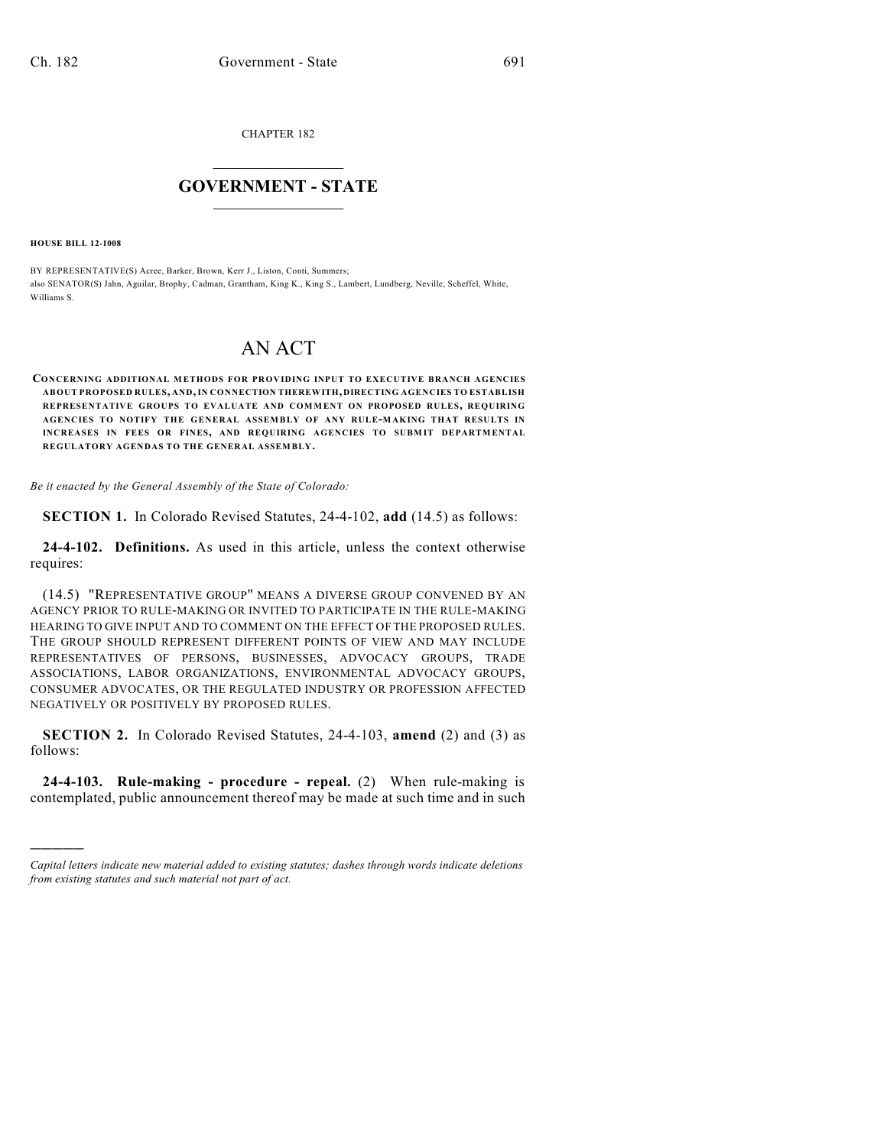CHAPTER 182

## $\mathcal{L}_\text{max}$  . The set of the set of the set of the set of the set of the set of the set of the set of the set of the set of the set of the set of the set of the set of the set of the set of the set of the set of the set **GOVERNMENT - STATE**  $\_$   $\_$   $\_$   $\_$   $\_$   $\_$   $\_$   $\_$   $\_$

**HOUSE BILL 12-1008**

)))))

BY REPRESENTATIVE(S) Acree, Barker, Brown, Kerr J., Liston, Conti, Summers; also SENATOR(S) Jahn, Aguilar, Brophy, Cadman, Grantham, King K., King S., Lambert, Lundberg, Neville, Scheffel, White, Williams S.

## AN ACT

**CONCERNING ADDITIONAL METHODS FOR PROVIDING INPUT TO EXECUTIVE BRANCH AGENCIES ABOUT PROPOSED RULES, AND,IN CONNECTION THEREWITH, DIRECTING AGENCIES TO ESTABLISH REPRESENTATIVE GROUPS TO EVALUATE AND COMMENT ON PROPOSED RULES, REQUIRING AGENCIES TO NOTIFY THE GENERAL ASSEMBLY OF ANY RULE-MAKING THAT RESULTS IN INCREASES IN FEES OR FINES, AND REQUIRING AGENCIES TO SUBM IT DEPARTMENTAL REGULATORY AGENDAS TO THE GENERAL ASSEMBLY.**

*Be it enacted by the General Assembly of the State of Colorado:*

**SECTION 1.** In Colorado Revised Statutes, 24-4-102, **add** (14.5) as follows:

**24-4-102. Definitions.** As used in this article, unless the context otherwise requires:

(14.5) "REPRESENTATIVE GROUP" MEANS A DIVERSE GROUP CONVENED BY AN AGENCY PRIOR TO RULE-MAKING OR INVITED TO PARTICIPATE IN THE RULE-MAKING HEARING TO GIVE INPUT AND TO COMMENT ON THE EFFECT OF THE PROPOSED RULES. THE GROUP SHOULD REPRESENT DIFFERENT POINTS OF VIEW AND MAY INCLUDE REPRESENTATIVES OF PERSONS, BUSINESSES, ADVOCACY GROUPS, TRADE ASSOCIATIONS, LABOR ORGANIZATIONS, ENVIRONMENTAL ADVOCACY GROUPS, CONSUMER ADVOCATES, OR THE REGULATED INDUSTRY OR PROFESSION AFFECTED NEGATIVELY OR POSITIVELY BY PROPOSED RULES.

**SECTION 2.** In Colorado Revised Statutes, 24-4-103, **amend** (2) and (3) as follows:

**24-4-103. Rule-making - procedure - repeal.** (2) When rule-making is contemplated, public announcement thereof may be made at such time and in such

*Capital letters indicate new material added to existing statutes; dashes through words indicate deletions from existing statutes and such material not part of act.*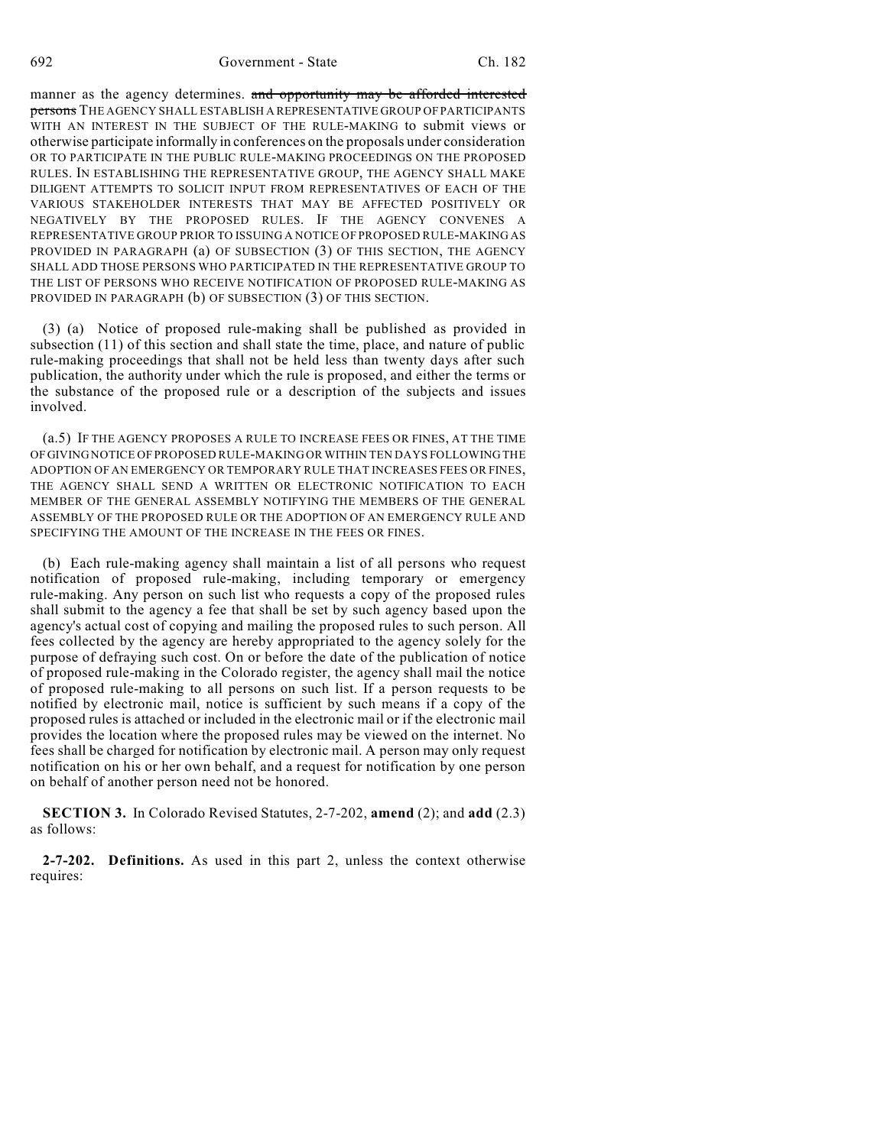manner as the agency determines. and opportunity may be afforded interested persons THE AGENCY SHALL ESTABLISH A REPRESENTATIVE GROUP OF PARTICIPANTS WITH AN INTEREST IN THE SUBJECT OF THE RULE-MAKING to submit views or otherwise participate informally in conferences on the proposals under consideration OR TO PARTICIPATE IN THE PUBLIC RULE-MAKING PROCEEDINGS ON THE PROPOSED RULES. IN ESTABLISHING THE REPRESENTATIVE GROUP, THE AGENCY SHALL MAKE DILIGENT ATTEMPTS TO SOLICIT INPUT FROM REPRESENTATIVES OF EACH OF THE VARIOUS STAKEHOLDER INTERESTS THAT MAY BE AFFECTED POSITIVELY OR NEGATIVELY BY THE PROPOSED RULES. IF THE AGENCY CONVENES A REPRESENTATIVE GROUP PRIOR TO ISSUING A NOTICE OF PROPOSED RULE-MAKING AS PROVIDED IN PARAGRAPH (a) OF SUBSECTION (3) OF THIS SECTION, THE AGENCY SHALL ADD THOSE PERSONS WHO PARTICIPATED IN THE REPRESENTATIVE GROUP TO THE LIST OF PERSONS WHO RECEIVE NOTIFICATION OF PROPOSED RULE-MAKING AS PROVIDED IN PARAGRAPH (b) OF SUBSECTION (3) OF THIS SECTION.

(3) (a) Notice of proposed rule-making shall be published as provided in subsection (11) of this section and shall state the time, place, and nature of public rule-making proceedings that shall not be held less than twenty days after such publication, the authority under which the rule is proposed, and either the terms or the substance of the proposed rule or a description of the subjects and issues involved.

(a.5) IF THE AGENCY PROPOSES A RULE TO INCREASE FEES OR FINES, AT THE TIME OF GIVING NOTICE OF PROPOSED RULE-MAKING OR WITHIN TEN DAYS FOLLOWING THE ADOPTION OF AN EMERGENCY OR TEMPORARY RULE THAT INCREASES FEES OR FINES, THE AGENCY SHALL SEND A WRITTEN OR ELECTRONIC NOTIFICATION TO EACH MEMBER OF THE GENERAL ASSEMBLY NOTIFYING THE MEMBERS OF THE GENERAL ASSEMBLY OF THE PROPOSED RULE OR THE ADOPTION OF AN EMERGENCY RULE AND SPECIFYING THE AMOUNT OF THE INCREASE IN THE FEES OR FINES.

(b) Each rule-making agency shall maintain a list of all persons who request notification of proposed rule-making, including temporary or emergency rule-making. Any person on such list who requests a copy of the proposed rules shall submit to the agency a fee that shall be set by such agency based upon the agency's actual cost of copying and mailing the proposed rules to such person. All fees collected by the agency are hereby appropriated to the agency solely for the purpose of defraying such cost. On or before the date of the publication of notice of proposed rule-making in the Colorado register, the agency shall mail the notice of proposed rule-making to all persons on such list. If a person requests to be notified by electronic mail, notice is sufficient by such means if a copy of the proposed rules is attached or included in the electronic mail or if the electronic mail provides the location where the proposed rules may be viewed on the internet. No fees shall be charged for notification by electronic mail. A person may only request notification on his or her own behalf, and a request for notification by one person on behalf of another person need not be honored.

**SECTION 3.** In Colorado Revised Statutes, 2-7-202, **amend** (2); and **add** (2.3) as follows:

**2-7-202. Definitions.** As used in this part 2, unless the context otherwise requires: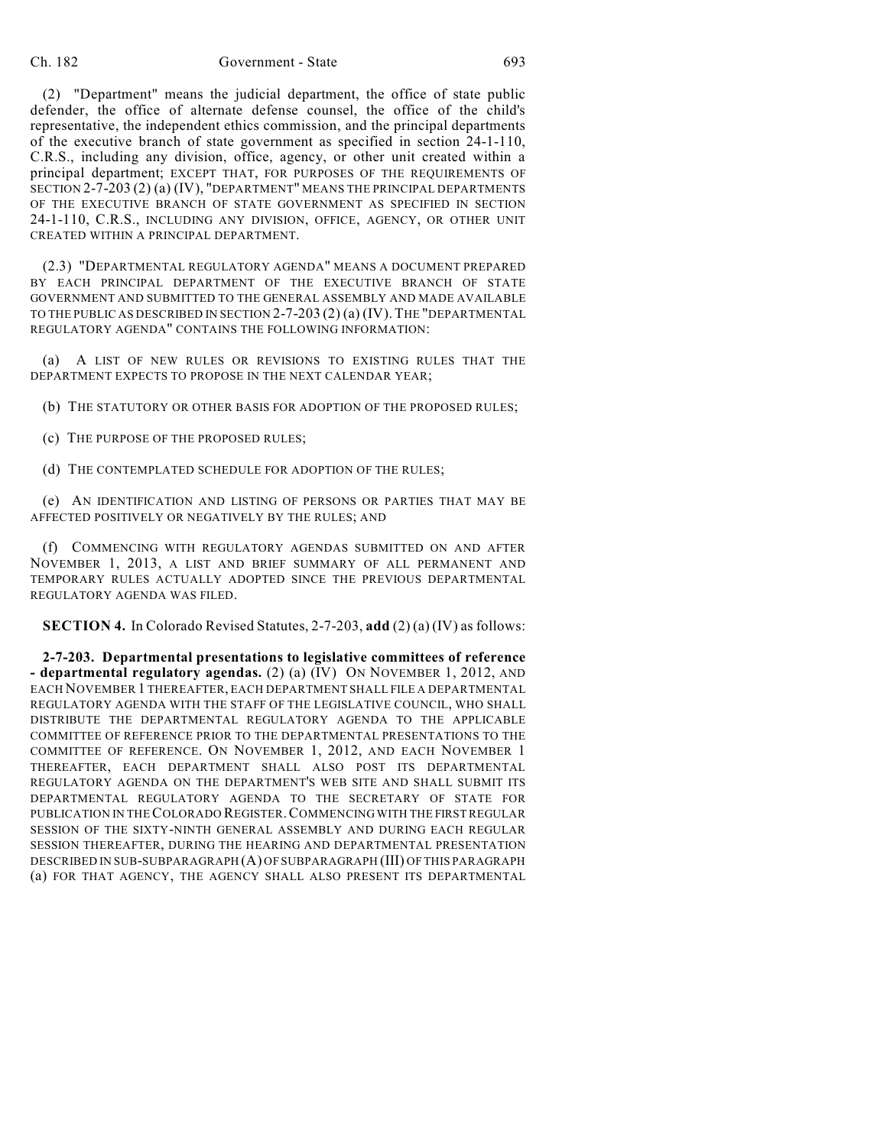## Ch. 182 Government - State 693

(2) "Department" means the judicial department, the office of state public defender, the office of alternate defense counsel, the office of the child's representative, the independent ethics commission, and the principal departments of the executive branch of state government as specified in section 24-1-110, C.R.S., including any division, office, agency, or other unit created within a principal department; EXCEPT THAT, FOR PURPOSES OF THE REQUIREMENTS OF SECTION 2-7-203 (2) (a) (IV), "DEPARTMENT" MEANS THE PRINCIPAL DEPARTMENTS OF THE EXECUTIVE BRANCH OF STATE GOVERNMENT AS SPECIFIED IN SECTION 24-1-110, C.R.S., INCLUDING ANY DIVISION, OFFICE, AGENCY, OR OTHER UNIT CREATED WITHIN A PRINCIPAL DEPARTMENT.

(2.3) "DEPARTMENTAL REGULATORY AGENDA" MEANS A DOCUMENT PREPARED BY EACH PRINCIPAL DEPARTMENT OF THE EXECUTIVE BRANCH OF STATE GOVERNMENT AND SUBMITTED TO THE GENERAL ASSEMBLY AND MADE AVAILABLE TO THE PUBLIC AS DESCRIBED IN SECTION 2-7-203 (2) (a) (IV).THE "DEPARTMENTAL REGULATORY AGENDA" CONTAINS THE FOLLOWING INFORMATION:

(a) A LIST OF NEW RULES OR REVISIONS TO EXISTING RULES THAT THE DEPARTMENT EXPECTS TO PROPOSE IN THE NEXT CALENDAR YEAR;

(b) THE STATUTORY OR OTHER BASIS FOR ADOPTION OF THE PROPOSED RULES;

(c) THE PURPOSE OF THE PROPOSED RULES;

(d) THE CONTEMPLATED SCHEDULE FOR ADOPTION OF THE RULES;

(e) AN IDENTIFICATION AND LISTING OF PERSONS OR PARTIES THAT MAY BE AFFECTED POSITIVELY OR NEGATIVELY BY THE RULES; AND

(f) COMMENCING WITH REGULATORY AGENDAS SUBMITTED ON AND AFTER NOVEMBER 1, 2013, A LIST AND BRIEF SUMMARY OF ALL PERMANENT AND TEMPORARY RULES ACTUALLY ADOPTED SINCE THE PREVIOUS DEPARTMENTAL REGULATORY AGENDA WAS FILED.

**SECTION 4.** In Colorado Revised Statutes, 2-7-203, **add** (2) (a) (IV) as follows:

**2-7-203. Departmental presentations to legislative committees of reference - departmental regulatory agendas.** (2) (a) (IV) ON NOVEMBER 1, 2012, AND EACH NOVEMBER 1 THEREAFTER, EACH DEPARTMENT SHALL FILE A DEPARTMENTAL REGULATORY AGENDA WITH THE STAFF OF THE LEGISLATIVE COUNCIL, WHO SHALL DISTRIBUTE THE DEPARTMENTAL REGULATORY AGENDA TO THE APPLICABLE COMMITTEE OF REFERENCE PRIOR TO THE DEPARTMENTAL PRESENTATIONS TO THE COMMITTEE OF REFERENCE. ON NOVEMBER 1, 2012, AND EACH NOVEMBER 1 THEREAFTER, EACH DEPARTMENT SHALL ALSO POST ITS DEPARTMENTAL REGULATORY AGENDA ON THE DEPARTMENT'S WEB SITE AND SHALL SUBMIT ITS DEPARTMENTAL REGULATORY AGENDA TO THE SECRETARY OF STATE FOR PUBLICATION IN THECOLORADO REGISTER.COMMENCING WITH THE FIRST REGULAR SESSION OF THE SIXTY-NINTH GENERAL ASSEMBLY AND DURING EACH REGULAR SESSION THEREAFTER, DURING THE HEARING AND DEPARTMENTAL PRESENTATION DESCRIBED IN SUB-SUBPARAGRAPH (A) OF SUBPARAGRAPH (III) OF THIS PARAGRAPH (a) FOR THAT AGENCY, THE AGENCY SHALL ALSO PRESENT ITS DEPARTMENTAL